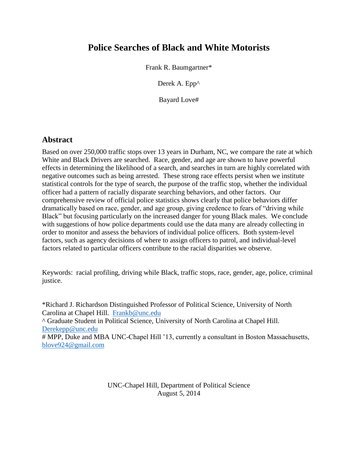# **Police Searches of Black and White Motorists**

Frank R. Baumgartner\*

Derek A. Epp^

Bayard Love#

## **Abstract**

Based on over 250,000 traffic stops over 13 years in Durham, NC, we compare the rate at which White and Black Drivers are searched. Race, gender, and age are shown to have powerful effects in determining the likelihood of a search, and searches in turn are highly correlated with negative outcomes such as being arrested. These strong race effects persist when we institute statistical controls for the type of search, the purpose of the traffic stop, whether the individual officer had a pattern of racially disparate searching behaviors, and other factors. Our comprehensive review of official police statistics shows clearly that police behaviors differ dramatically based on race, gender, and age group, giving credence to fears of "driving while Black" but focusing particularly on the increased danger for young Black males. We conclude with suggestions of how police departments could use the data many are already collecting in order to monitor and assess the behaviors of individual police officers. Both system-level factors, such as agency decisions of where to assign officers to patrol, and individual-level factors related to particular officers contribute to the racial disparities we observe.

Keywords: racial profiling, driving while Black, traffic stops, race, gender, age, police, criminal justice.

\*Richard J. Richardson Distinguished Professor of Political Science, University of North Carolina at Chapel Hill. [Frankb@unc.edu](mailto:Frankb@unc.edu) ^ Graduate Student in Political Science, University of North Carolina at Chapel Hill. [Derekepp@unc.edu](mailto:Derekepp@unc.edu) # MPP, Duke and MBA UNC-Chapel Hill '13, currently a consultant in Boston Massachusetts, [blove924@gmail.com](mailto:blove924@gmail.com)

> UNC-Chapel Hill, Department of Political Science August 5, 2014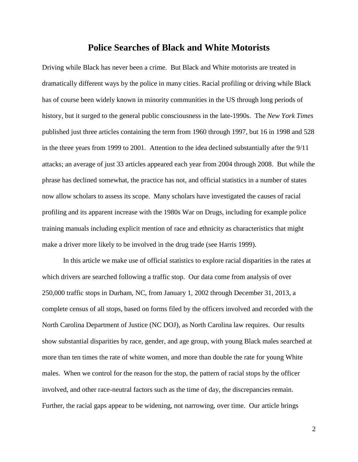## **Police Searches of Black and White Motorists**

Driving while Black has never been a crime. But Black and White motorists are treated in dramatically different ways by the police in many cities. Racial profiling or driving while Black has of course been widely known in minority communities in the US through long periods of history, but it surged to the general public consciousness in the late-1990s. The *New York Times* published just three articles containing the term from 1960 through 1997, but 16 in 1998 and 528 in the three years from 1999 to 2001. Attention to the idea declined substantially after the 9/11 attacks; an average of just 33 articles appeared each year from 2004 through 2008. But while the phrase has declined somewhat, the practice has not, and official statistics in a number of states now allow scholars to assess its scope. Many scholars have investigated the causes of racial profiling and its apparent increase with the 1980s War on Drugs, including for example police training manuals including explicit mention of race and ethnicity as characteristics that might make a driver more likely to be involved in the drug trade (see Harris 1999).

In this article we make use of official statistics to explore racial disparities in the rates at which drivers are searched following a traffic stop. Our data come from analysis of over 250,000 traffic stops in Durham, NC, from January 1, 2002 through December 31, 2013, a complete census of all stops, based on forms filed by the officers involved and recorded with the North Carolina Department of Justice (NC DOJ), as North Carolina law requires. Our results show substantial disparities by race, gender, and age group, with young Black males searched at more than ten times the rate of white women, and more than double the rate for young White males. When we control for the reason for the stop, the pattern of racial stops by the officer involved, and other race-neutral factors such as the time of day, the discrepancies remain. Further, the racial gaps appear to be widening, not narrowing, over time. Our article brings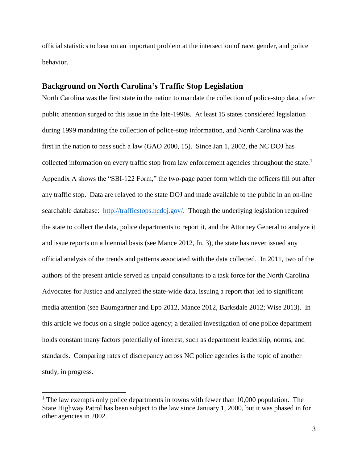official statistics to bear on an important problem at the intersection of race, gender, and police behavior.

#### **Background on North Carolina's Traffic Stop Legislation**

North Carolina was the first state in the nation to mandate the collection of police-stop data, after public attention surged to this issue in the late-1990s. At least 15 states considered legislation during 1999 mandating the collection of police-stop information, and North Carolina was the first in the nation to pass such a law (GAO 2000, 15). Since Jan 1, 2002, the NC DOJ has collected information on every traffic stop from law enforcement agencies throughout the state.<sup>1</sup> Appendix A shows the "SBI-122 Form," the two-page paper form which the officers fill out after any traffic stop. Data are relayed to the state DOJ and made available to the public in an on-line searchable database: [http://trafficstops.ncdoj.gov/.](http://trafficstops.ncdoj.gov/) Though the underlying legislation required the state to collect the data, police departments to report it, and the Attorney General to analyze it and issue reports on a biennial basis (see Mance 2012, fn. 3), the state has never issued any official analysis of the trends and patterns associated with the data collected. In 2011, two of the authors of the present article served as unpaid consultants to a task force for the North Carolina Advocates for Justice and analyzed the state-wide data, issuing a report that led to significant media attention (see Baumgartner and Epp 2012, Mance 2012, Barksdale 2012; Wise 2013). In this article we focus on a single police agency; a detailed investigation of one police department holds constant many factors potentially of interest, such as department leadership, norms, and standards. Comparing rates of discrepancy across NC police agencies is the topic of another study, in progress.

 $\overline{a}$ 

<sup>&</sup>lt;sup>1</sup> The law exempts only police departments in towns with fewer than 10,000 population. The State Highway Patrol has been subject to the law since January 1, 2000, but it was phased in for other agencies in 2002.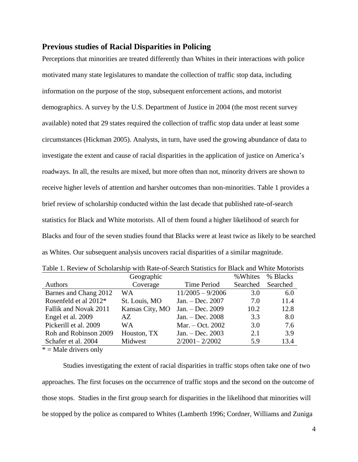### **Previous studies of Racial Disparities in Policing**

Perceptions that minorities are treated differently than Whites in their interactions with police motivated many state legislatures to mandate the collection of traffic stop data, including information on the purpose of the stop, subsequent enforcement actions, and motorist demographics. A survey by the U.S. Department of Justice in 2004 (the most recent survey available) noted that 29 states required the collection of traffic stop data under at least some circumstances (Hickman 2005). Analysts, in turn, have used the growing abundance of data to investigate the extent and cause of racial disparities in the application of justice on America's roadways. In all, the results are mixed, but more often than not, minority drivers are shown to receive higher levels of attention and harsher outcomes than non-minorities. Table 1 provides a brief review of scholarship conducted within the last decade that published rate-of-search statistics for Black and White motorists. All of them found a higher likelihood of search for Blacks and four of the seven studies found that Blacks were at least twice as likely to be searched as Whites. Our subsequent analysis uncovers racial disparities of a similar magnitude.

|                       | Geographic      |                    | % Whites | % Blacks |
|-----------------------|-----------------|--------------------|----------|----------|
| <b>Authors</b>        | Coverage        | Time Period        | Searched | Searched |
| Barnes and Chang 2012 | WА              | $11/2005 - 9/2006$ | 3.0      | 6.0      |
| Rosenfeld et al 2012* | St. Louis, MO   | Jan. - Dec. 2007   | 7.0      | 11.4     |
| Fallik and Novak 2011 | Kansas City, MO | Jan. - Dec. 2009   | 10.2     | 12.8     |
| Engel et al. 2009     | AZ.             | Jan. - Dec. 2008   | 3.3      | 8.0      |
| Pickerill et al. 2009 | WA              | Mar. $-$ Oct. 2002 | 3.0      | 7.6      |
| Roh and Robinson 2009 | Houston, TX     | Jan. $-$ Dec. 2003 | 2.1      | 3.9      |
| Schafer et al. 2004   | Midwest         | $2/2001 - 2/2002$  | 5.9      | 13.4     |

Table 1. Review of Scholarship with Rate-of-Search Statistics for Black and White Motorists

 $* =$  Male drivers only

Studies investigating the extent of racial disparities in traffic stops often take one of two approaches. The first focuses on the occurrence of traffic stops and the second on the outcome of those stops. Studies in the first group search for disparities in the likelihood that minorities will be stopped by the police as compared to Whites (Lamberth 1996; Cordner, Williams and Zuniga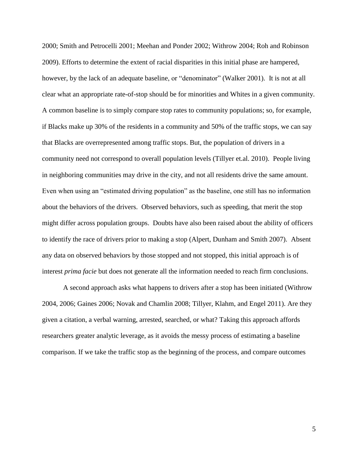2000; Smith and Petrocelli 2001; Meehan and Ponder 2002; Withrow 2004; Roh and Robinson 2009). Efforts to determine the extent of racial disparities in this initial phase are hampered, however, by the lack of an adequate baseline, or "denominator" (Walker 2001). It is not at all clear what an appropriate rate-of-stop should be for minorities and Whites in a given community. A common baseline is to simply compare stop rates to community populations; so, for example, if Blacks make up 30% of the residents in a community and 50% of the traffic stops, we can say that Blacks are overrepresented among traffic stops. But, the population of drivers in a community need not correspond to overall population levels (Tillyer et.al. 2010). People living in neighboring communities may drive in the city, and not all residents drive the same amount. Even when using an "estimated driving population" as the baseline, one still has no information about the behaviors of the drivers. Observed behaviors, such as speeding, that merit the stop might differ across population groups. Doubts have also been raised about the ability of officers to identify the race of drivers prior to making a stop (Alpert, Dunham and Smith 2007). Absent any data on observed behaviors by those stopped and not stopped, this initial approach is of interest *prima facie* but does not generate all the information needed to reach firm conclusions.

A second approach asks what happens to drivers after a stop has been initiated (Withrow 2004, 2006; Gaines 2006; Novak and Chamlin 2008; Tillyer, Klahm, and Engel 2011). Are they given a citation, a verbal warning, arrested, searched, or what? Taking this approach affords researchers greater analytic leverage, as it avoids the messy process of estimating a baseline comparison. If we take the traffic stop as the beginning of the process, and compare outcomes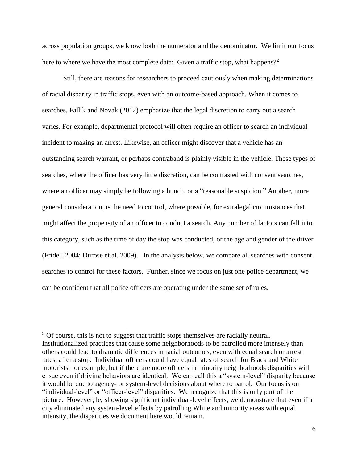across population groups, we know both the numerator and the denominator. We limit our focus here to where we have the most complete data: Given a traffic stop, what happens?<sup>2</sup>

Still, there are reasons for researchers to proceed cautiously when making determinations of racial disparity in traffic stops, even with an outcome-based approach. When it comes to searches, Fallik and Novak (2012) emphasize that the legal discretion to carry out a search varies. For example, departmental protocol will often require an officer to search an individual incident to making an arrest. Likewise, an officer might discover that a vehicle has an outstanding search warrant, or perhaps contraband is plainly visible in the vehicle. These types of searches, where the officer has very little discretion, can be contrasted with consent searches, where an officer may simply be following a hunch, or a "reasonable suspicion." Another, more general consideration, is the need to control, where possible, for extralegal circumstances that might affect the propensity of an officer to conduct a search. Any number of factors can fall into this category, such as the time of day the stop was conducted, or the age and gender of the driver (Fridell 2004; Durose et.al. 2009). In the analysis below, we compare all searches with consent searches to control for these factors. Further, since we focus on just one police department, we can be confident that all police officers are operating under the same set of rules.

 $\overline{a}$ 

 $2^{\circ}$  Of course, this is not to suggest that traffic stops themselves are racially neutral. Institutionalized practices that cause some neighborhoods to be patrolled more intensely than others could lead to dramatic differences in racial outcomes, even with equal search or arrest rates, after a stop. Individual officers could have equal rates of search for Black and White motorists, for example, but if there are more officers in minority neighborhoods disparities will ensue even if driving behaviors are identical. We can call this a "system-level" disparity because it would be due to agency- or system-level decisions about where to patrol. Our focus is on "individual-level" or "officer-level" disparities. We recognize that this is only part of the picture. However, by showing significant individual-level effects, we demonstrate that even if a city eliminated any system-level effects by patrolling White and minority areas with equal intensity, the disparities we document here would remain.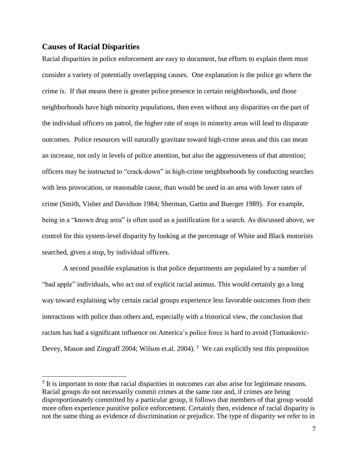#### **Causes of Racial Disparities**

 $\overline{a}$ 

Racial disparities in police enforcement are easy to document, but efforts to explain them must consider a variety of potentially overlapping causes. One explanation is the police go where the crime is. If that means there is greater police presence in certain neighborhoods, and those neighborhoods have high minority populations, then even without any disparities on the part of the individual officers on patrol, the higher rate of stops in minority areas will lead to disparate outcomes. Police resources will naturally gravitate toward high-crime areas and this can mean an increase, not only in levels of police attention, but also the aggressiveness of that attention; officers may be instructed to "crack-down" in high-crime neighborhoods by conducting searches with less provocation, or reasonable cause, than would be used in an area with lower rates of crime (Smith, Visher and Davidson 1984; Sherman, Gartin and Buerger 1989). For example, being in a "known drug area" is often used as a justification for a search. As discussed above, we control for this system-level disparity by looking at the percentage of White and Black motorists searched, given a stop, by individual officers.

A second possible explanation is that police departments are populated by a number of "bad apple" individuals, who act out of explicit racial animus. This would certainly go a long way toward explaining why certain racial groups experience less favorable outcomes from their interactions with police than others and, especially with a historical view, the conclusion that racism has had a significant influence on America's police force is hard to avoid (Tomaskovic-Devey, Mason and Zingraff 2004; Wilson et.al. 2004).<sup>3</sup> We can explicitly test this proposition

 $3$  It is important to note that racial disparities in outcomes can also arise for legitimate reasons. Racial groups do not necessarily commit crimes at the same rate and, if crimes are being disproportionately committed by a particular group, it follows that members of that group would more often experience punitive police enforcement. Certainly then, evidence of racial disparity is not the same thing as evidence of discrimination or prejudice. The type of disparity we refer to in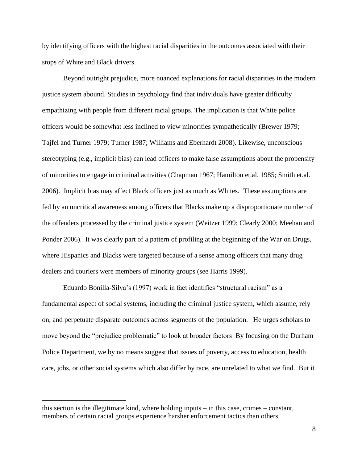by identifying officers with the highest racial disparities in the outcomes associated with their stops of White and Black drivers.

Beyond outright prejudice, more nuanced explanations for racial disparities in the modern justice system abound. Studies in psychology find that individuals have greater difficulty empathizing with people from different racial groups. The implication is that White police officers would be somewhat less inclined to view minorities sympathetically (Brewer 1979; Tajfel and Turner 1979; Turner 1987; Williams and Eberhardt 2008). Likewise, unconscious stereotyping (e.g., implicit bias) can lead officers to make false assumptions about the propensity of minorities to engage in criminal activities (Chapman 1967; Hamilton et.al. 1985; Smith et.al. 2006). Implicit bias may affect Black officers just as much as Whites. These assumptions are fed by an uncritical awareness among officers that Blacks make up a disproportionate number of the offenders processed by the criminal justice system (Weitzer 1999; Clearly 2000; Meehan and Ponder 2006). It was clearly part of a pattern of profiling at the beginning of the War on Drugs, where Hispanics and Blacks were targeted because of a sense among officers that many drug dealers and couriers were members of minority groups (see Harris 1999).

Eduardo Bonilla-Silva's (1997) work in fact identifies "structural racism" as a fundamental aspect of social systems, including the criminal justice system, which assume, rely on, and perpetuate disparate outcomes across segments of the population. He urges scholars to move beyond the "prejudice problematic" to look at broader factors By focusing on the Durham Police Department, we by no means suggest that issues of poverty, access to education, health care, jobs, or other social systems which also differ by race, are unrelated to what we find. But it

 $\overline{a}$ 

this section is the illegitimate kind, where holding inputs – in this case, crimes – constant, members of certain racial groups experience harsher enforcement tactics than others.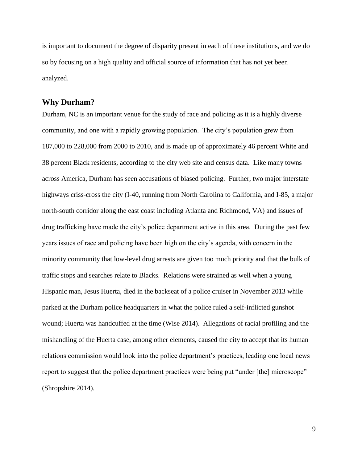is important to document the degree of disparity present in each of these institutions, and we do so by focusing on a high quality and official source of information that has not yet been analyzed.

#### **Why Durham?**

Durham, NC is an important venue for the study of race and policing as it is a highly diverse community, and one with a rapidly growing population. The city's population grew from 187,000 to 228,000 from 2000 to 2010, and is made up of approximately 46 percent White and 38 percent Black residents, according to the city web site and census data. Like many towns across America, Durham has seen accusations of biased policing. Further, two major interstate highways criss-cross the city (I-40, running from North Carolina to California, and I-85, a major north-south corridor along the east coast including Atlanta and Richmond, VA) and issues of drug trafficking have made the city's police department active in this area. During the past few years issues of race and policing have been high on the city's agenda, with concern in the minority community that low-level drug arrests are given too much priority and that the bulk of traffic stops and searches relate to Blacks. Relations were strained as well when a young Hispanic man, Jesus Huerta, died in the backseat of a police cruiser in November 2013 while parked at the Durham police headquarters in what the police ruled a self-inflicted gunshot wound; Huerta was handcuffed at the time (Wise 2014). Allegations of racial profiling and the mishandling of the Huerta case, among other elements, caused the city to accept that its human relations commission would look into the police department's practices, leading one local news report to suggest that the police department practices were being put "under [the] microscope" (Shropshire 2014).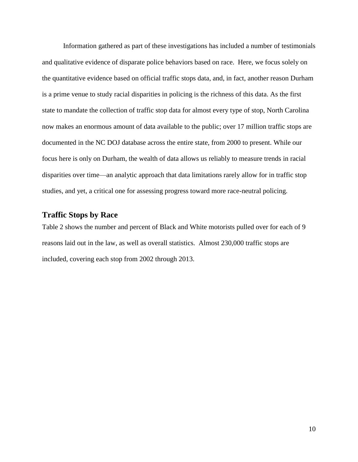Information gathered as part of these investigations has included a number of testimonials and qualitative evidence of disparate police behaviors based on race. Here, we focus solely on the quantitative evidence based on official traffic stops data, and, in fact, another reason Durham is a prime venue to study racial disparities in policing is the richness of this data. As the first state to mandate the collection of traffic stop data for almost every type of stop, North Carolina now makes an enormous amount of data available to the public; over 17 million traffic stops are documented in the NC DOJ database across the entire state, from 2000 to present. While our focus here is only on Durham, the wealth of data allows us reliably to measure trends in racial disparities over time—an analytic approach that data limitations rarely allow for in traffic stop studies, and yet, a critical one for assessing progress toward more race-neutral policing.

### **Traffic Stops by Race**

Table 2 shows the number and percent of Black and White motorists pulled over for each of 9 reasons laid out in the law, as well as overall statistics. Almost 230,000 traffic stops are included, covering each stop from 2002 through 2013.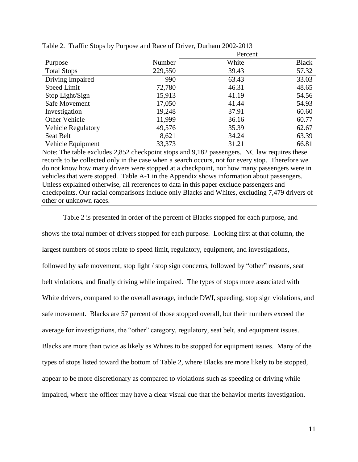|                           |         | Percent |              |  |  |  |
|---------------------------|---------|---------|--------------|--|--|--|
| Purpose                   | Number  | White   | <b>Black</b> |  |  |  |
| <b>Total Stops</b>        | 229,550 | 39.43   | 57.32        |  |  |  |
| Driving Impaired          | 990     | 63.43   | 33.03        |  |  |  |
| Speed Limit               | 72,780  | 46.31   | 48.65        |  |  |  |
| Stop Light/Sign           | 15,913  | 41.19   | 54.56        |  |  |  |
| Safe Movement             | 17,050  | 41.44   | 54.93        |  |  |  |
| Investigation             | 19,248  | 37.91   | 60.60        |  |  |  |
| Other Vehicle             | 11,999  | 36.16   | 60.77        |  |  |  |
| <b>Vehicle Regulatory</b> | 49,576  | 35.39   | 62.67        |  |  |  |
| Seat Belt                 | 8,621   | 34.24   | 63.39        |  |  |  |
| Vehicle Equipment         | 33,373  | 31.21   | 66.81        |  |  |  |

Table 2. Traffic Stops by Purpose and Race of Driver, Durham 2002-2013

Note: The table excludes 2,852 checkpoint stops and 9,182 passengers. NC law requires these records to be collected only in the case when a search occurs, not for every stop. Therefore we do not know how many drivers were stopped at a checkpoint, nor how many passengers were in vehicles that were stopped. Table A-1 in the Appendix shows information about passengers. Unless explained otherwise, all references to data in this paper exclude passengers and checkpoints. Our racial comparisons include only Blacks and Whites, excluding 7,479 drivers of other or unknown races.

Table 2 is presented in order of the percent of Blacks stopped for each purpose, and shows the total number of drivers stopped for each purpose. Looking first at that column, the largest numbers of stops relate to speed limit, regulatory, equipment, and investigations, followed by safe movement, stop light / stop sign concerns, followed by "other" reasons, seat belt violations, and finally driving while impaired. The types of stops more associated with White drivers, compared to the overall average, include DWI, speeding, stop sign violations, and safe movement. Blacks are 57 percent of those stopped overall, but their numbers exceed the average for investigations, the "other" category, regulatory, seat belt, and equipment issues. Blacks are more than twice as likely as Whites to be stopped for equipment issues. Many of the types of stops listed toward the bottom of Table 2, where Blacks are more likely to be stopped, appear to be more discretionary as compared to violations such as speeding or driving while impaired, where the officer may have a clear visual cue that the behavior merits investigation.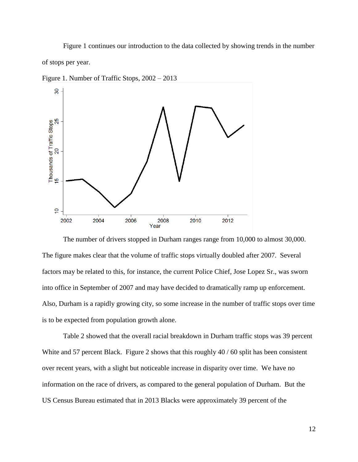Figure 1 continues our introduction to the data collected by showing trends in the number of stops per year.



Figure 1. Number of Traffic Stops, 2002 – 2013

The number of drivers stopped in Durham ranges range from 10,000 to almost 30,000. The figure makes clear that the volume of traffic stops virtually doubled after 2007. Several factors may be related to this, for instance, the current Police Chief, Jose Lopez Sr., was sworn into office in September of 2007 and may have decided to dramatically ramp up enforcement. Also, Durham is a rapidly growing city, so some increase in the number of traffic stops over time is to be expected from population growth alone.

Table 2 showed that the overall racial breakdown in Durham traffic stops was 39 percent White and 57 percent Black. Figure 2 shows that this roughly 40 / 60 split has been consistent over recent years, with a slight but noticeable increase in disparity over time. We have no information on the race of drivers, as compared to the general population of Durham. But the US Census Bureau estimated that in 2013 Blacks were approximately 39 percent of the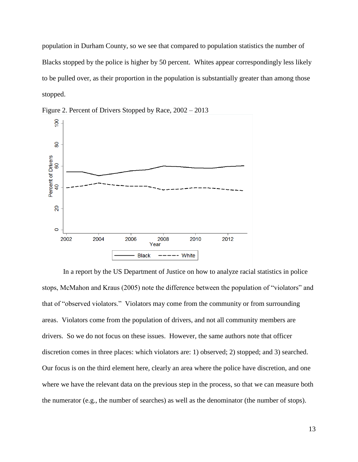population in Durham County, so we see that compared to population statistics the number of Blacks stopped by the police is higher by 50 percent. Whites appear correspondingly less likely to be pulled over, as their proportion in the population is substantially greater than among those stopped.



Figure 2. Percent of Drivers Stopped by Race, 2002 – 2013

In a report by the US Department of Justice on how to analyze racial statistics in police stops, McMahon and Kraus (2005) note the difference between the population of "violators" and that of "observed violators." Violators may come from the community or from surrounding areas. Violators come from the population of drivers, and not all community members are drivers. So we do not focus on these issues. However, the same authors note that officer discretion comes in three places: which violators are: 1) observed; 2) stopped; and 3) searched. Our focus is on the third element here, clearly an area where the police have discretion, and one where we have the relevant data on the previous step in the process, so that we can measure both the numerator (e.g., the number of searches) as well as the denominator (the number of stops).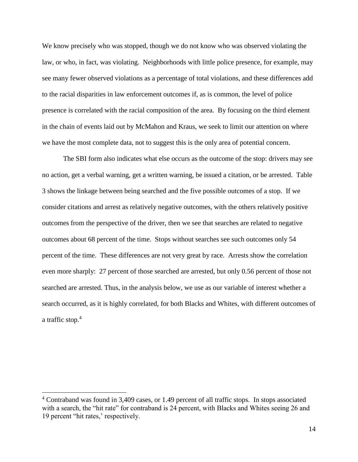We know precisely who was stopped, though we do not know who was observed violating the law, or who, in fact, was violating. Neighborhoods with little police presence, for example, may see many fewer observed violations as a percentage of total violations, and these differences add to the racial disparities in law enforcement outcomes if, as is common, the level of police presence is correlated with the racial composition of the area. By focusing on the third element in the chain of events laid out by McMahon and Kraus, we seek to limit our attention on where we have the most complete data, not to suggest this is the only area of potential concern.

The SBI form also indicates what else occurs as the outcome of the stop: drivers may see no action, get a verbal warning, get a written warning, be issued a citation, or be arrested. Table 3 shows the linkage between being searched and the five possible outcomes of a stop. If we consider citations and arrest as relatively negative outcomes, with the others relatively positive outcomes from the perspective of the driver, then we see that searches are related to negative outcomes about 68 percent of the time. Stops without searches see such outcomes only 54 percent of the time. These differences are not very great by race. Arrests show the correlation even more sharply: 27 percent of those searched are arrested, but only 0.56 percent of those not searched are arrested. Thus, in the analysis below, we use as our variable of interest whether a search occurred, as it is highly correlated, for both Blacks and Whites, with different outcomes of a traffic stop.<sup>4</sup>

 $\overline{a}$ 

<sup>&</sup>lt;sup>4</sup> Contraband was found in 3,409 cases, or 1.49 percent of all traffic stops. In stops associated with a search, the "hit rate" for contraband is 24 percent, with Blacks and Whites seeing 26 and 19 percent "hit rates,' respectively.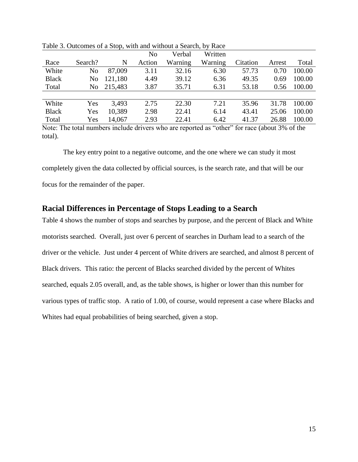|              |                |         | N <sub>o</sub> | Verbal  | Written |          |        |        |
|--------------|----------------|---------|----------------|---------|---------|----------|--------|--------|
| Race         | Search?        | N       | Action         | Warning | Warning | Citation | Arrest | Total  |
| White        | N <sub>o</sub> | 87,009  | 3.11           | 32.16   | 6.30    | 57.73    | 0.70   | 100.00 |
| <b>Black</b> | No             | 121,180 | 4.49           | 39.12   | 6.36    | 49.35    | 0.69   | 100.00 |
| Total        | No.            | 215,483 | 3.87           | 35.71   | 6.31    | 53.18    | 0.56   | 100.00 |
|              |                |         |                |         |         |          |        |        |
| White        | Yes            | 3.493   | 2.75           | 22.30   | 7.21    | 35.96    | 31.78  | 100.00 |
| <b>Black</b> | Yes            | 10,389  | 2.98           | 22.41   | 6.14    | 43.41    | 25.06  | 100.00 |
| Total        | Yes            | 14,067  | 2.93           | 22.41   | 6.42    | 41.37    | 26.88  | 100.00 |
|              |                |         |                |         |         |          |        |        |

Table 3. Outcomes of a Stop, with and without a Search, by Race

Note: The total numbers include drivers who are reported as "other" for race (about 3% of the total).

The key entry point to a negative outcome, and the one where we can study it most completely given the data collected by official sources, is the search rate, and that will be our focus for the remainder of the paper.

## **Racial Differences in Percentage of Stops Leading to a Search**

Table 4 shows the number of stops and searches by purpose, and the percent of Black and White motorists searched. Overall, just over 6 percent of searches in Durham lead to a search of the driver or the vehicle. Just under 4 percent of White drivers are searched, and almost 8 percent of Black drivers. This ratio: the percent of Blacks searched divided by the percent of Whites searched, equals 2.05 overall, and, as the table shows, is higher or lower than this number for various types of traffic stop. A ratio of 1.00, of course, would represent a case where Blacks and Whites had equal probabilities of being searched, given a stop.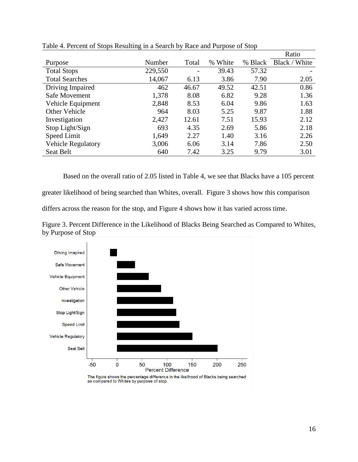|                           |         |                          |         |         | Ratio         |
|---------------------------|---------|--------------------------|---------|---------|---------------|
| Purpose                   | Number  | Total                    | % White | % Black | Black / White |
| <b>Total Stops</b>        | 229,550 | $\overline{\phantom{a}}$ | 39.43   | 57.32   |               |
| <b>Total Searches</b>     | 14,067  | 6.13                     | 3.86    | 7.90    | 2.05          |
| Driving Impaired          | 462     | 46.67                    | 49.52   | 42.51   | 0.86          |
| Safe Movement             | 1,378   | 8.08                     | 6.82    | 9.28    | 1.36          |
| Vehicle Equipment         | 2,848   | 8.53                     | 6.04    | 9.86    | 1.63          |
| <b>Other Vehicle</b>      | 964     | 8.03                     | 5.25    | 9.87    | 1.88          |
| Investigation             | 2,427   | 12.61                    | 7.51    | 15.93   | 2.12          |
| Stop Light/Sign           | 693     | 4.35                     | 2.69    | 5.86    | 2.18          |
| Speed Limit               | 1,649   | 2.27                     | 1.40    | 3.16    | 2.26          |
| <b>Vehicle Regulatory</b> | 3,006   | 6.06                     | 3.14    | 7.86    | 2.50          |
| Seat Belt                 | 640     | 7.42                     | 3.25    | 9.79    | 3.01          |

Table 4. Percent of Stops Resulting in a Search by Race and Purpose of Stop

Based on the overall ratio of 2.05 listed in Table 4, we see that Blacks have a 105 percent greater likelihood of being searched than Whites, overall. Figure 3 shows how this comparison

differs across the reason for the stop, and Figure 4 shows how it has varied across time.



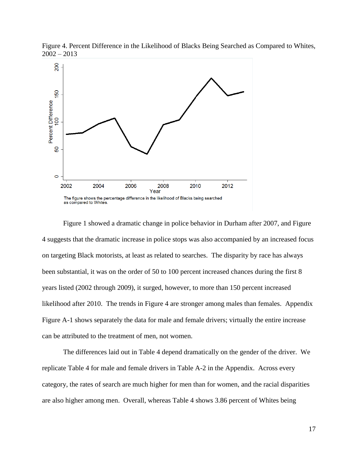

Figure 4. Percent Difference in the Likelihood of Blacks Being Searched as Compared to Whites,  $2002 - 2013$ 

Figure 1 showed a dramatic change in police behavior in Durham after 2007, and Figure 4 suggests that the dramatic increase in police stops was also accompanied by an increased focus on targeting Black motorists, at least as related to searches. The disparity by race has always been substantial, it was on the order of 50 to 100 percent increased chances during the first 8 years listed (2002 through 2009), it surged, however, to more than 150 percent increased likelihood after 2010. The trends in Figure 4 are stronger among males than females. Appendix Figure A-1 shows separately the data for male and female drivers; virtually the entire increase can be attributed to the treatment of men, not women.

The differences laid out in Table 4 depend dramatically on the gender of the driver. We replicate Table 4 for male and female drivers in Table A-2 in the Appendix. Across every category, the rates of search are much higher for men than for women, and the racial disparities are also higher among men. Overall, whereas Table 4 shows 3.86 percent of Whites being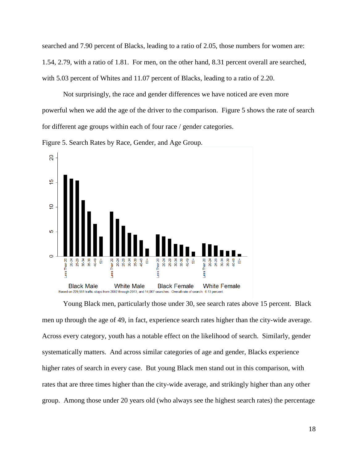searched and 7.90 percent of Blacks, leading to a ratio of 2.05, those numbers for women are: 1.54, 2.79, with a ratio of 1.81. For men, on the other hand, 8.31 percent overall are searched, with 5.03 percent of Whites and 11.07 percent of Blacks, leading to a ratio of 2.20.

Not surprisingly, the race and gender differences we have noticed are even more powerful when we add the age of the driver to the comparison. Figure 5 shows the rate of search for different age groups within each of four race / gender categories.

Figure 5. Search Rates by Race, Gender, and Age Group.



Young Black men, particularly those under 30, see search rates above 15 percent. Black men up through the age of 49, in fact, experience search rates higher than the city-wide average. Across every category, youth has a notable effect on the likelihood of search. Similarly, gender systematically matters. And across similar categories of age and gender, Blacks experience higher rates of search in every case. But young Black men stand out in this comparison, with rates that are three times higher than the city-wide average, and strikingly higher than any other group. Among those under 20 years old (who always see the highest search rates) the percentage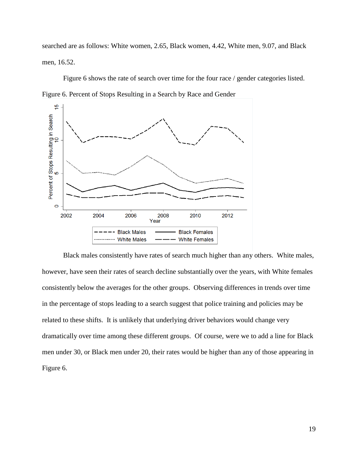searched are as follows: White women, 2.65, Black women, 4.42, White men, 9.07, and Black men, 16.52.

Figure 6 shows the rate of search over time for the four race / gender categories listed. Figure 6. Percent of Stops Resulting in a Search by Race and Gender



Black males consistently have rates of search much higher than any others. White males, however, have seen their rates of search decline substantially over the years, with White females consistently below the averages for the other groups. Observing differences in trends over time in the percentage of stops leading to a search suggest that police training and policies may be related to these shifts. It is unlikely that underlying driver behaviors would change very dramatically over time among these different groups. Of course, were we to add a line for Black men under 30, or Black men under 20, their rates would be higher than any of those appearing in Figure 6.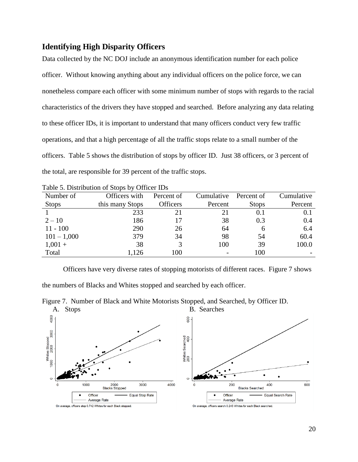## **Identifying High Disparity Officers**

Data collected by the NC DOJ include an anonymous identification number for each police officer. Without knowing anything about any individual officers on the police force, we can nonetheless compare each officer with some minimum number of stops with regards to the racial characteristics of the drivers they have stopped and searched. Before analyzing any data relating to these officer IDs, it is important to understand that many officers conduct very few traffic operations, and that a high percentage of all the traffic stops relate to a small number of the officers. Table 5 shows the distribution of stops by officer ID. Just 38 officers, or 3 percent of the total, are responsible for 39 percent of the traffic stops.

|               | Table 5. Distribution of Stops by Officer iDs |                 |            |              |            |
|---------------|-----------------------------------------------|-----------------|------------|--------------|------------|
| Number of     | Officers with                                 | Percent of      | Cumulative | Percent of   | Cumulative |
| <b>Stops</b>  | this many Stops                               | <b>Officers</b> | Percent    | <b>Stops</b> | Percent    |
|               | 233                                           | 21              |            | 0.1          | 0.1        |
| $2 - 10$      | 186                                           |                 | 38         | 0.3          | 0.4        |
| $11 - 100$    | 290                                           | 26              | 64         | 6            | 6.4        |
| $101 - 1,000$ | 379                                           | 34              | 98         | 54           | 60.4       |
| $1,001 +$     | 38                                            |                 | 100        | 39           | 100.0      |
| Total         | 1,126                                         | 100             |            | 100          |            |

Officers have very diverse rates of stopping motorists of different races. Figure 7 shows the numbers of Blacks and Whites stopped and searched by each officer.



Figure 7. Number of Black and White Motorists Stopped, and Searched, by Officer ID.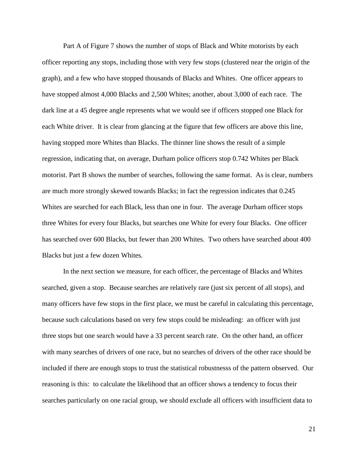Part A of Figure 7 shows the number of stops of Black and White motorists by each officer reporting any stops, including those with very few stops (clustered near the origin of the graph), and a few who have stopped thousands of Blacks and Whites. One officer appears to have stopped almost 4,000 Blacks and 2,500 Whites; another, about 3,000 of each race. The dark line at a 45 degree angle represents what we would see if officers stopped one Black for each White driver. It is clear from glancing at the figure that few officers are above this line, having stopped more Whites than Blacks. The thinner line shows the result of a simple regression, indicating that, on average, Durham police officers stop 0.742 Whites per Black motorist. Part B shows the number of searches, following the same format. As is clear, numbers are much more strongly skewed towards Blacks; in fact the regression indicates that 0.245 Whites are searched for each Black, less than one in four. The average Durham officer stops three Whites for every four Blacks, but searches one White for every four Blacks. One officer has searched over 600 Blacks, but fewer than 200 Whites. Two others have searched about 400 Blacks but just a few dozen Whites.

In the next section we measure, for each officer, the percentage of Blacks and Whites searched, given a stop. Because searches are relatively rare (just six percent of all stops), and many officers have few stops in the first place, we must be careful in calculating this percentage, because such calculations based on very few stops could be misleading: an officer with just three stops but one search would have a 33 percent search rate. On the other hand, an officer with many searches of drivers of one race, but no searches of drivers of the other race should be included if there are enough stops to trust the statistical robustnesss of the pattern observed. Our reasoning is this: to calculate the likelihood that an officer shows a tendency to focus their searches particularly on one racial group, we should exclude all officers with insufficient data to

21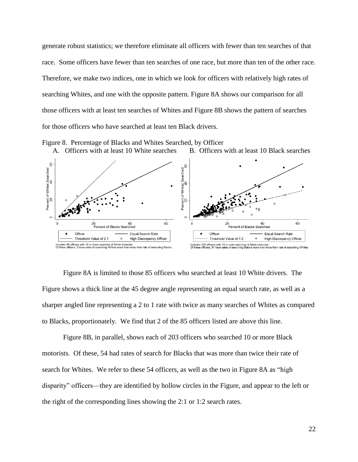generate robust statistics; we therefore eliminate all officers with fewer than ten searches of that race. Some officers have fewer than ten searches of one race, but more than ten of the other race. Therefore, we make two indices, one in which we look for officers with relatively high rates of searching Whites, and one with the opposite pattern. Figure 8A shows our comparison for all those officers with at least ten searches of Whites and Figure 8B shows the pattern of searches for those officers who have searched at least ten Black drivers.



Figure 8. Percentage of Blacks and Whites Searched, by Officer

Figure 8A is limited to those 85 officers who searched at least 10 White drivers. The Figure shows a thick line at the 45 degree angle representing an equal search rate, as well as a sharper angled line representing a 2 to 1 rate with twice as many searches of Whites as compared to Blacks, proportionately. We find that 2 of the 85 officers listed are above this line.

Figure 8B, in parallel, shows each of 203 officers who searched 10 or more Black motorists. Of these, 54 had rates of search for Blacks that was more than twice their rate of search for Whites. We refer to these 54 officers, as well as the two in Figure 8A as "high disparity" officers—they are identified by hollow circles in the Figure, and appear to the left or the right of the corresponding lines showing the 2:1 or 1:2 search rates.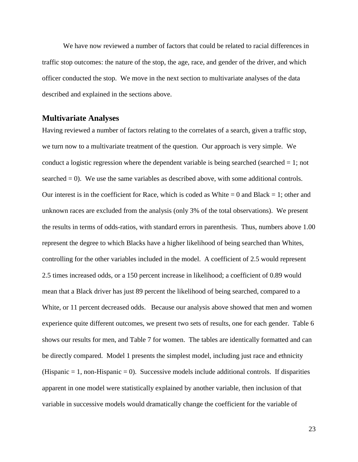We have now reviewed a number of factors that could be related to racial differences in traffic stop outcomes: the nature of the stop, the age, race, and gender of the driver, and which officer conducted the stop. We move in the next section to multivariate analyses of the data described and explained in the sections above.

#### **Multivariate Analyses**

Having reviewed a number of factors relating to the correlates of a search, given a traffic stop, we turn now to a multivariate treatment of the question. Our approach is very simple. We conduct a logistic regression where the dependent variable is being searched (searched  $= 1$ ; not searched = 0). We use the same variables as described above, with some additional controls. Our interest is in the coefficient for Race, which is coded as White  $= 0$  and Black  $= 1$ ; other and unknown races are excluded from the analysis (only 3% of the total observations). We present the results in terms of odds-ratios, with standard errors in parenthesis. Thus, numbers above 1.00 represent the degree to which Blacks have a higher likelihood of being searched than Whites, controlling for the other variables included in the model. A coefficient of 2.5 would represent 2.5 times increased odds, or a 150 percent increase in likelihood; a coefficient of 0.89 would mean that a Black driver has just 89 percent the likelihood of being searched, compared to a White, or 11 percent decreased odds. Because our analysis above showed that men and women experience quite different outcomes, we present two sets of results, one for each gender. Table 6 shows our results for men, and Table 7 for women. The tables are identically formatted and can be directly compared. Model 1 presents the simplest model, including just race and ethnicity (Hispanic  $= 1$ , non-Hispanic  $= 0$ ). Successive models include additional controls. If disparities apparent in one model were statistically explained by another variable, then inclusion of that variable in successive models would dramatically change the coefficient for the variable of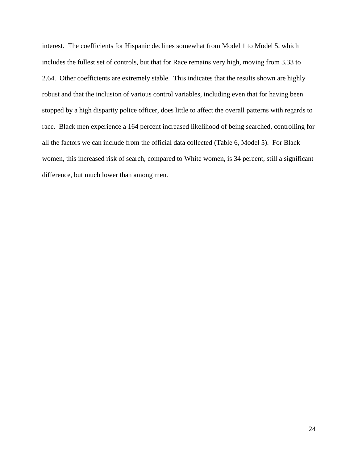interest. The coefficients for Hispanic declines somewhat from Model 1 to Model 5, which includes the fullest set of controls, but that for Race remains very high, moving from 3.33 to 2.64. Other coefficients are extremely stable. This indicates that the results shown are highly robust and that the inclusion of various control variables, including even that for having been stopped by a high disparity police officer, does little to affect the overall patterns with regards to race. Black men experience a 164 percent increased likelihood of being searched, controlling for all the factors we can include from the official data collected (Table 6, Model 5). For Black women, this increased risk of search, compared to White women, is 34 percent, still a significant difference, but much lower than among men.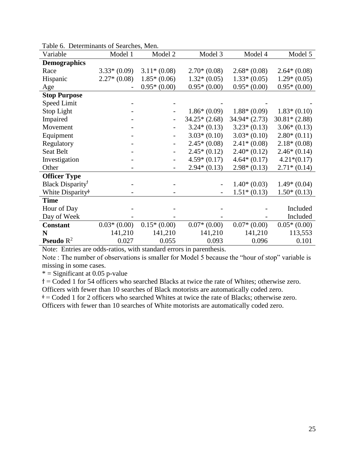| Variable                                     | Model 1       | Model 2                  | Model 3        | Model 4        | Model 5        |
|----------------------------------------------|---------------|--------------------------|----------------|----------------|----------------|
| <b>Demographics</b>                          |               |                          |                |                |                |
| Race                                         | $3.33*(0.09)$ | $3.11*(0.08)$            | $2.70*(0.08)$  | $2.68*(0.08)$  | $2.64*(0.08)$  |
| Hispanic                                     | $2.27*(0.08)$ | $1.85*(0.06)$            | $1.32*(0.05)$  | $1.33*(0.05)$  | $1.29*(0.05)$  |
| Age                                          |               | $0.95*(0.00)$            | $0.95*(0.00)$  | $0.95*(0.00)$  | $0.95*(0.00)$  |
| <b>Stop Purpose</b>                          |               |                          |                |                |                |
| Speed Limit                                  |               |                          |                |                |                |
| Stop Light                                   |               |                          | $1.86*(0.09)$  | $1.88*(0.09)$  | $1.83*(0.10)$  |
| Impaired                                     |               |                          | $34.25*(2.68)$ | $34.94*(2.73)$ | $30.81*(2.88)$ |
| Movement                                     |               |                          | $3.24*(0.13)$  | $3.23*(0.13)$  | $3.06*(0.13)$  |
| Equipment                                    |               | -                        | $3.03*(0.10)$  | $3.03*(0.10)$  | $2.80*(0.11)$  |
| Regulatory                                   |               | $\overline{\phantom{a}}$ | $2.45*(0.08)$  | $2.41*(0.08)$  | $2.18*(0.08)$  |
| Seat Belt                                    |               | $\overline{\phantom{a}}$ | $2.45*(0.12)$  | $2.40*(0.12)$  | $2.46*(0.14)$  |
| Investigation                                |               | $\overline{\phantom{a}}$ | $4.59*(0.17)$  | $4.64*(0.17)$  | $4.21*(0.17)$  |
| Other                                        |               | $\qquad \qquad -$        | $2.94*(0.13)$  | $2.98*(0.13)$  | $2.71*(0.14)$  |
| <b>Officer Type</b>                          |               |                          |                |                |                |
| Black Disparity <sup>†</sup>                 |               |                          |                | $1.40*(0.03)$  | $1.49*(0.04)$  |
| White Disparity <sup><math>\phi</math></sup> |               |                          |                | $1.51*(0.13)$  | $1.50*(0.13)$  |
| <b>Time</b>                                  |               |                          |                |                |                |
| Hour of Day                                  |               |                          |                |                | Included       |
| Day of Week                                  |               |                          |                |                | Included       |
| <b>Constant</b>                              | $0.03*(0.00)$ | $0.15*(0.00)$            | $0.07*(0.00)$  | $0.07*(0.00)$  | $0.05*(0.00)$  |
| N                                            | 141,210       | 141,210                  | 141,210        | 141,210        | 113,553        |
| <b>Pseudo</b> $R^2$                          | 0.027         | 0.055                    | 0.093          | 0.096          | 0.101          |

Table 6. Determinants of Searches, Men.

Note: Entries are odds-ratios, with standard errors in parenthesis.

Note : The number of observations is smaller for Model 5 because the "hour of stop" variable is missing in some cases.

 $*$  = Significant at 0.05 p-value

ϯ = Coded 1 for 54 officers who searched Blacks at twice the rate of Whites; otherwise zero. Officers with fewer than 10 searches of Black motorists are automatically coded zero.

 $\phi$  = Coded 1 for 2 officers who searched Whites at twice the rate of Blacks; otherwise zero.

Officers with fewer than 10 searches of White motorists are automatically coded zero.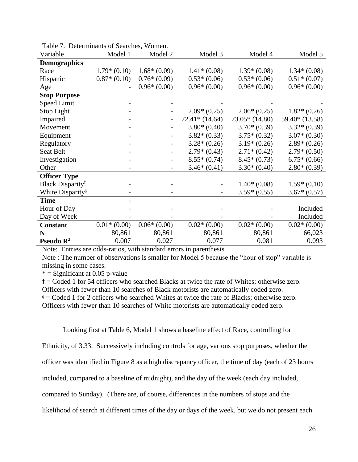| Variable                                     | Determination of Bearenes,<br>Model 1 | Model 2                  | Model 3         | Model 4         | Model 5        |
|----------------------------------------------|---------------------------------------|--------------------------|-----------------|-----------------|----------------|
| <b>Demographics</b>                          |                                       |                          |                 |                 |                |
| Race                                         | $1.79*(0.10)$                         | $1.68*(0.09)$            | $1.41*(0.08)$   | $1.39*(0.08)$   | $1.34*(0.08)$  |
| Hispanic                                     | $0.87*(0.10)$                         | $0.76*(0.09)$            | $0.53*(0.06)$   | $0.53*(0.06)$   | $0.51*(0.07)$  |
| Age                                          |                                       | $0.96*(0.00)$            | $0.96*(0.00)$   | $0.96*(0.00)$   | $0.96*(0.00)$  |
| <b>Stop Purpose</b>                          |                                       |                          |                 |                 |                |
| Speed Limit                                  |                                       |                          |                 |                 |                |
| Stop Light                                   |                                       |                          | $2.09*(0.25)$   | $2.06*(0.25)$   | $1.82*(0.26)$  |
| Impaired                                     |                                       |                          | $72.41*(14.64)$ | $73.05*(14.80)$ | 59.40* (13.58) |
| Movement                                     |                                       |                          | $3.80*(0.40)$   | $3.70*(0.39)$   | $3.32*(0.39)$  |
| Equipment                                    |                                       |                          | $3.82*(0.33)$   | $3.75*(0.32)$   | $3.07*(0.30)$  |
| Regulatory                                   |                                       |                          | $3.28*(0.26)$   | $3.19*(0.26)$   | $2.89*(0.26)$  |
| Seat Belt                                    |                                       |                          | $2.79*(0.43)$   | $2.71*(0.42)$   | $2.79*(0.50)$  |
| Investigation                                |                                       | $\overline{\phantom{a}}$ | $8.55*(0.74)$   | $8.45*(0.73)$   | $6.75*(0.66)$  |
| Other                                        |                                       |                          | $3.46*(0.41)$   | $3.30*(0.40)$   | $2.80*(0.39)$  |
| <b>Officer Type</b>                          |                                       |                          |                 |                 |                |
| Black Disparity <sup>†</sup>                 |                                       |                          |                 | $1.40*(0.08)$   | $1.59*(0.10)$  |
| White Disparity <sup><math>\phi</math></sup> |                                       |                          |                 | $3.59*(0.55)$   | $3.67*(0.57)$  |
| <b>Time</b>                                  |                                       |                          |                 |                 |                |
| Hour of Day                                  |                                       |                          |                 |                 | Included       |
| Day of Week                                  |                                       |                          |                 |                 | Included       |
| <b>Constant</b>                              | $0.01*(0.00)$                         | $0.06*(0.00)$            | $0.02*(0.00)$   | $0.02*(0.00)$   | $0.02*(0.00)$  |
| N                                            | 80,861                                | 80,861                   | 80,861          | 80,861          | 66,023         |
| Pseudo $\mathbb{R}^2$                        | 0.007                                 | 0.027                    | 0.077           | 0.081           | 0.093          |

|  | Table 7. Determinants of Searches, Women. |  |  |
|--|-------------------------------------------|--|--|
|--|-------------------------------------------|--|--|

Note: Entries are odds-ratios, with standard errors in parenthesis.

Note : The number of observations is smaller for Model 5 because the "hour of stop" variable is missing in some cases.

 $*$  = Significant at 0.05 p-value

ϯ = Coded 1 for 54 officers who searched Blacks at twice the rate of Whites; otherwise zero.

Officers with fewer than 10 searches of Black motorists are automatically coded zero.

 $\Phi$  = Coded 1 for 2 officers who searched Whites at twice the rate of Blacks; otherwise zero.

Officers with fewer than 10 searches of White motorists are automatically coded zero.

Looking first at Table 6, Model 1 shows a baseline effect of Race, controlling for

Ethnicity, of 3.33. Successively including controls for age, various stop purposes, whether the

officer was identified in Figure 8 as a high discrepancy officer, the time of day (each of 23 hours

included, compared to a baseline of midnight), and the day of the week (each day included,

compared to Sunday). (There are, of course, differences in the numbers of stops and the

likelihood of search at different times of the day or days of the week, but we do not present each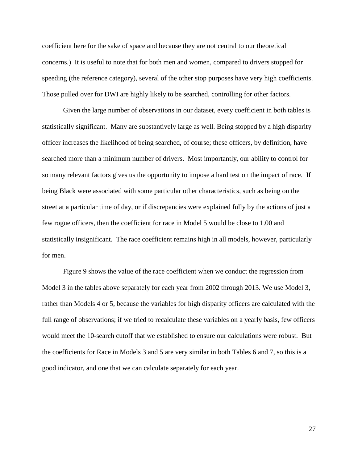coefficient here for the sake of space and because they are not central to our theoretical concerns.) It is useful to note that for both men and women, compared to drivers stopped for speeding (the reference category), several of the other stop purposes have very high coefficients. Those pulled over for DWI are highly likely to be searched, controlling for other factors.

Given the large number of observations in our dataset, every coefficient in both tables is statistically significant. Many are substantively large as well. Being stopped by a high disparity officer increases the likelihood of being searched, of course; these officers, by definition, have searched more than a minimum number of drivers. Most importantly, our ability to control for so many relevant factors gives us the opportunity to impose a hard test on the impact of race. If being Black were associated with some particular other characteristics, such as being on the street at a particular time of day, or if discrepancies were explained fully by the actions of just a few rogue officers, then the coefficient for race in Model 5 would be close to 1.00 and statistically insignificant. The race coefficient remains high in all models, however, particularly for men.

Figure 9 shows the value of the race coefficient when we conduct the regression from Model 3 in the tables above separately for each year from 2002 through 2013. We use Model 3, rather than Models 4 or 5, because the variables for high disparity officers are calculated with the full range of observations; if we tried to recalculate these variables on a yearly basis, few officers would meet the 10-search cutoff that we established to ensure our calculations were robust. But the coefficients for Race in Models 3 and 5 are very similar in both Tables 6 and 7, so this is a good indicator, and one that we can calculate separately for each year.

27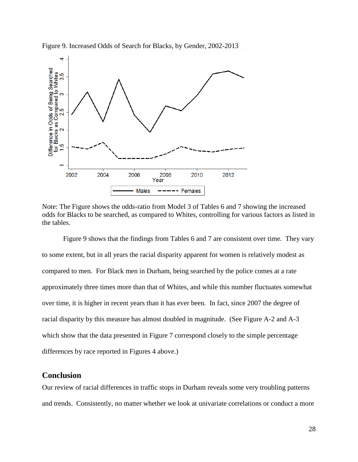

Figure 9. Increased Odds of Search for Blacks, by Gender, 2002-2013

Note: The Figure shows the odds-ratio from Model 3 of Tables 6 and 7 showing the increased odds for Blacks to be searched, as compared to Whites, controlling for various factors as listed in the tables.

Figure 9 shows that the findings from Tables 6 and 7 are consistent over time. They vary to some extent, but in all years the racial disparity apparent for women is relatively modest as compared to men. For Black men in Durham, being searched by the police comes at a rate approximately three times more than that of Whites, and while this number fluctuates somewhat over time, it is higher in recent years than it has ever been. In fact, since 2007 the degree of racial disparity by this measure has almost doubled in magnitude. (See Figure A-2 and A-3 which show that the data presented in Figure 7 correspond closely to the simple percentage differences by race reported in Figures 4 above.)

### **Conclusion**

Our review of racial differences in traffic stops in Durham reveals some very troubling patterns and trends. Consistently, no matter whether we look at univariate correlations or conduct a more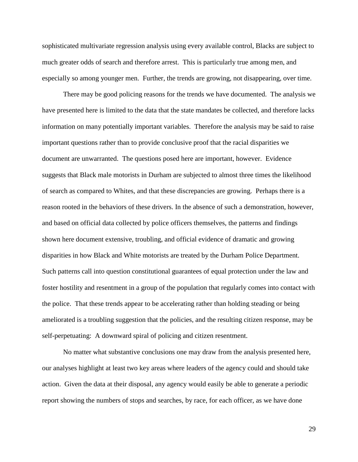sophisticated multivariate regression analysis using every available control, Blacks are subject to much greater odds of search and therefore arrest. This is particularly true among men, and especially so among younger men. Further, the trends are growing, not disappearing, over time.

There may be good policing reasons for the trends we have documented. The analysis we have presented here is limited to the data that the state mandates be collected, and therefore lacks information on many potentially important variables. Therefore the analysis may be said to raise important questions rather than to provide conclusive proof that the racial disparities we document are unwarranted. The questions posed here are important, however. Evidence suggests that Black male motorists in Durham are subjected to almost three times the likelihood of search as compared to Whites, and that these discrepancies are growing. Perhaps there is a reason rooted in the behaviors of these drivers. In the absence of such a demonstration, however, and based on official data collected by police officers themselves, the patterns and findings shown here document extensive, troubling, and official evidence of dramatic and growing disparities in how Black and White motorists are treated by the Durham Police Department. Such patterns call into question constitutional guarantees of equal protection under the law and foster hostility and resentment in a group of the population that regularly comes into contact with the police. That these trends appear to be accelerating rather than holding steading or being ameliorated is a troubling suggestion that the policies, and the resulting citizen response, may be self-perpetuating: A downward spiral of policing and citizen resentment.

No matter what substantive conclusions one may draw from the analysis presented here, our analyses highlight at least two key areas where leaders of the agency could and should take action. Given the data at their disposal, any agency would easily be able to generate a periodic report showing the numbers of stops and searches, by race, for each officer, as we have done

29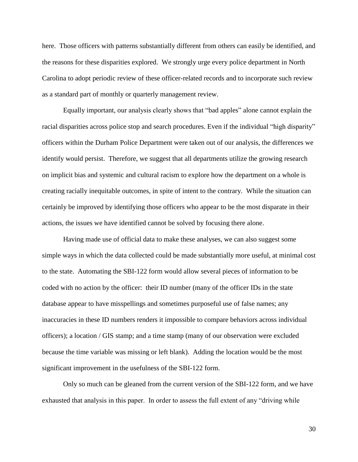here. Those officers with patterns substantially different from others can easily be identified, and the reasons for these disparities explored. We strongly urge every police department in North Carolina to adopt periodic review of these officer-related records and to incorporate such review as a standard part of monthly or quarterly management review.

Equally important, our analysis clearly shows that "bad apples" alone cannot explain the racial disparities across police stop and search procedures. Even if the individual "high disparity" officers within the Durham Police Department were taken out of our analysis, the differences we identify would persist. Therefore, we suggest that all departments utilize the growing research on implicit bias and systemic and cultural racism to explore how the department on a whole is creating racially inequitable outcomes, in spite of intent to the contrary. While the situation can certainly be improved by identifying those officers who appear to be the most disparate in their actions, the issues we have identified cannot be solved by focusing there alone.

Having made use of official data to make these analyses, we can also suggest some simple ways in which the data collected could be made substantially more useful, at minimal cost to the state. Automating the SBI-122 form would allow several pieces of information to be coded with no action by the officer: their ID number (many of the officer IDs in the state database appear to have misspellings and sometimes purposeful use of false names; any inaccuracies in these ID numbers renders it impossible to compare behaviors across individual officers); a location / GIS stamp; and a time stamp (many of our observation were excluded because the time variable was missing or left blank). Adding the location would be the most significant improvement in the usefulness of the SBI-122 form.

Only so much can be gleaned from the current version of the SBI-122 form, and we have exhausted that analysis in this paper. In order to assess the full extent of any "driving while

30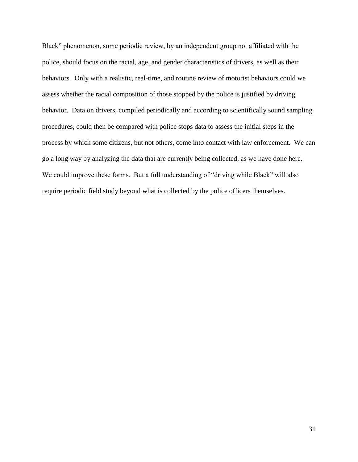Black" phenomenon, some periodic review, by an independent group not affiliated with the police, should focus on the racial, age, and gender characteristics of drivers, as well as their behaviors. Only with a realistic, real-time, and routine review of motorist behaviors could we assess whether the racial composition of those stopped by the police is justified by driving behavior. Data on drivers, compiled periodically and according to scientifically sound sampling procedures, could then be compared with police stops data to assess the initial steps in the process by which some citizens, but not others, come into contact with law enforcement. We can go a long way by analyzing the data that are currently being collected, as we have done here. We could improve these forms. But a full understanding of "driving while Black" will also require periodic field study beyond what is collected by the police officers themselves.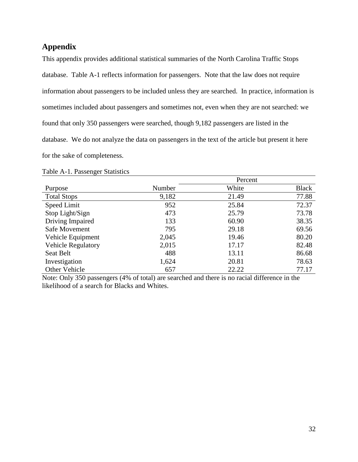## **Appendix**

This appendix provides additional statistical summaries of the North Carolina Traffic Stops database. Table A-1 reflects information for passengers. Note that the law does not require information about passengers to be included unless they are searched. In practice, information is sometimes included about passengers and sometimes not, even when they are not searched: we found that only 350 passengers were searched, though 9,182 passengers are listed in the database. We do not analyze the data on passengers in the text of the article but present it here for the sake of completeness.

### Table A-1. Passenger Statistics

|                           | Percent |       |              |  |  |
|---------------------------|---------|-------|--------------|--|--|
| Purpose                   | Number  | White | <b>Black</b> |  |  |
| <b>Total Stops</b>        | 9,182   | 21.49 | 77.88        |  |  |
| Speed Limit               | 952     | 25.84 | 72.37        |  |  |
| Stop Light/Sign           | 473     | 25.79 | 73.78        |  |  |
| Driving Impaired          | 133     | 60.90 | 38.35        |  |  |
| Safe Movement             | 795     | 29.18 | 69.56        |  |  |
| Vehicle Equipment         | 2,045   | 19.46 | 80.20        |  |  |
| <b>Vehicle Regulatory</b> | 2,015   | 17.17 | 82.48        |  |  |
| Seat Belt                 | 488     | 13.11 | 86.68        |  |  |
| Investigation             | 1,624   | 20.81 | 78.63        |  |  |
| Other Vehicle             | 657     | 22.22 | 77.17        |  |  |

Note: Only 350 passengers (4% of total) are searched and there is no racial difference in the likelihood of a search for Blacks and Whites.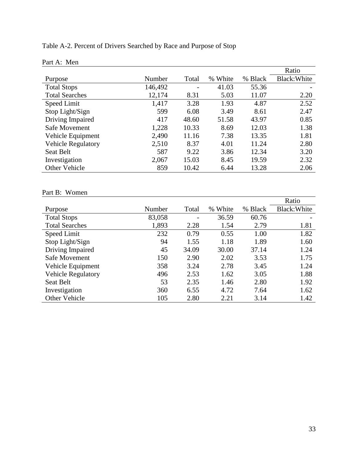## Table A-2. Percent of Drivers Searched by Race and Purpose of Stop

|                           |         |       |         |         | Ratio        |
|---------------------------|---------|-------|---------|---------|--------------|
| Purpose                   | Number  | Total | % White | % Black | Black: White |
| <b>Total Stops</b>        | 146,492 |       | 41.03   | 55.36   |              |
| <b>Total Searches</b>     | 12,174  | 8.31  | 5.03    | 11.07   | 2.20         |
| Speed Limit               | 1,417   | 3.28  | 1.93    | 4.87    | 2.52         |
| Stop Light/Sign           | 599     | 6.08  | 3.49    | 8.61    | 2.47         |
| Driving Impaired          | 417     | 48.60 | 51.58   | 43.97   | 0.85         |
| Safe Movement             | 1,228   | 10.33 | 8.69    | 12.03   | 1.38         |
| Vehicle Equipment         | 2,490   | 11.16 | 7.38    | 13.35   | 1.81         |
| <b>Vehicle Regulatory</b> | 2,510   | 8.37  | 4.01    | 11.24   | 2.80         |
| Seat Belt                 | 587     | 9.22  | 3.86    | 12.34   | 3.20         |
| Investigation             | 2,067   | 15.03 | 8.45    | 19.59   | 2.32         |
| Other Vehicle             | 859     | 10.42 | 6.44    | 13.28   | 2.06         |

## Part A: Men

## Part B: Women

|                           |        |                              |         |         | Ratio        |
|---------------------------|--------|------------------------------|---------|---------|--------------|
| Purpose                   | Number | Total                        | % White | % Black | Black: White |
| <b>Total Stops</b>        | 83,058 | $\qquad \qquad \blacksquare$ | 36.59   | 60.76   |              |
| <b>Total Searches</b>     | 1,893  | 2.28                         | 1.54    | 2.79    | 1.81         |
| Speed Limit               | 232    | 0.79                         | 0.55    | 1.00    | 1.82         |
| Stop Light/Sign           | 94     | 1.55                         | 1.18    | 1.89    | 1.60         |
| Driving Impaired          | 45     | 34.09                        | 30.00   | 37.14   | 1.24         |
| Safe Movement             | 150    | 2.90                         | 2.02    | 3.53    | 1.75         |
| Vehicle Equipment         | 358    | 3.24                         | 2.78    | 3.45    | 1.24         |
| <b>Vehicle Regulatory</b> | 496    | 2.53                         | 1.62    | 3.05    | 1.88         |
| Seat Belt                 | 53     | 2.35                         | 1.46    | 2.80    | 1.92         |
| Investigation             | 360    | 6.55                         | 4.72    | 7.64    | 1.62         |
| Other Vehicle             | 105    | 2.80                         | 2.21    | 3.14    | 1.42         |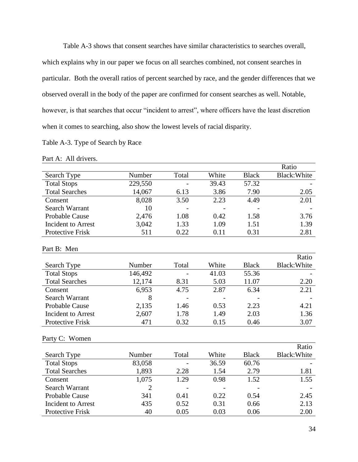Table A-3 shows that consent searches have similar characteristics to searches overall, which explains why in our paper we focus on all searches combined, not consent searches in particular. Both the overall ratios of percent searched by race, and the gender differences that we observed overall in the body of the paper are confirmed for consent searches as well. Notable, however, is that searches that occur "incident to arrest", where officers have the least discretion when it comes to searching, also show the lowest levels of racial disparity.

### Table A-3. Type of Search by Race

#### Part A: All drivers.

|                           |         |       |       |              | Ratio               |
|---------------------------|---------|-------|-------|--------------|---------------------|
| Search Type               | Number  | Total | White | <b>Black</b> | <b>Black: White</b> |
| <b>Total Stops</b>        | 229,550 |       | 39.43 | 57.32        |                     |
| <b>Total Searches</b>     | 14,067  | 6.13  | 3.86  | 7.90         | 2.05                |
| Consent                   | 8,028   | 3.50  | 2.23  | 4.49         | $\overline{2.01}$   |
| <b>Search Warrant</b>     | 10      |       |       |              |                     |
| Probable Cause            | 2,476   | 1.08  | 0.42  | 1.58         | 3.76                |
| <b>Incident to Arrest</b> | 3,042   | 1.33  | 1.09  | 1.51         | 1.39                |
| <b>Protective Frisk</b>   | 511     | 0.22  | 0.11  | 0.31         | 2.81                |
| Part B: Men               |         |       |       |              |                     |
|                           |         |       |       |              | Ratio               |
| Search Type               | Number  | Total | White | <b>Black</b> | <b>Black: White</b> |
| <b>Total Stops</b>        | 146,492 |       | 41.03 | 55.36        |                     |
| <b>Total Searches</b>     | 12,174  | 8.31  | 5.03  | 11.07        | 2.20                |
| Consent                   | 6,953   | 4.75  | 2.87  | 6.34         | 2.21                |
| <b>Search Warrant</b>     | 8       |       |       |              |                     |
| Probable Cause            | 2,135   | 1.46  | 0.53  | 2.23         | 4.21                |
| <b>Incident to Arrest</b> | 2,607   | 1.78  | 1.49  | 2.03         | 1.36                |
| Protective Frisk          | 471     | 0.32  | 0.15  | 0.46         | 3.07                |
| Party C: Women            |         |       |       |              |                     |
|                           |         |       |       |              | Ratio               |
| Search Type               | Number  | Total | White | <b>Black</b> | Black: White        |
| <b>Total Stops</b>        | 83,058  |       | 36.59 | 60.76        |                     |
| <b>Total Searches</b>     | 1,893   | 2.28  | 1.54  | 2.79         | 1.81                |
| Consent                   | 1,075   | 1.29  | 0.98  | 1.52         | 1.55                |
| <b>Search Warrant</b>     | 2       |       |       |              |                     |
| Probable Cause            | 341     | 0.41  | 0.22  | 0.54         | 2.45                |
| <b>Incident to Arrest</b> | 435     | 0.52  | 0.31  | 0.66         | 2.13                |
| Protective Frisk          | 40      | 0.05  | 0.03  | 0.06         | 2.00                |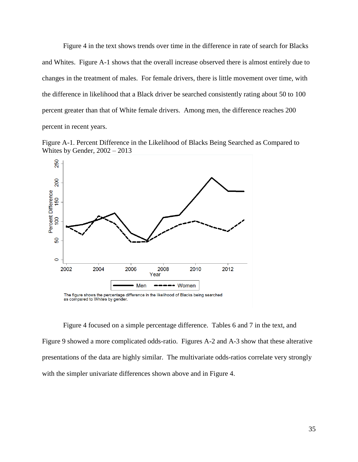Figure 4 in the text shows trends over time in the difference in rate of search for Blacks and Whites. Figure A-1 shows that the overall increase observed there is almost entirely due to changes in the treatment of males. For female drivers, there is little movement over time, with the difference in likelihood that a Black driver be searched consistently rating about 50 to 100 percent greater than that of White female drivers. Among men, the difference reaches 200 percent in recent years.





The figure shows the percentage difference in the likelihood of Blacks being searched as compared to Whites by gender.

Figure 4 focused on a simple percentage difference. Tables 6 and 7 in the text, and Figure 9 showed a more complicated odds-ratio. Figures A-2 and A-3 show that these alterative presentations of the data are highly similar. The multivariate odds-ratios correlate very strongly with the simpler univariate differences shown above and in Figure 4.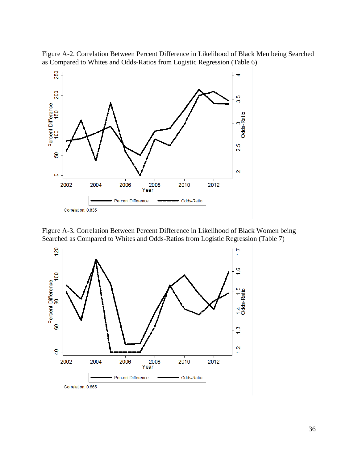Figure A-2. Correlation Between Percent Difference in Likelihood of Black Men being Searched as Compared to Whites and Odds-Ratios from Logistic Regression (Table 6)



Figure A-3. Correlation Between Percent Difference in Likelihood of Black Women being Searched as Compared to Whites and Odds-Ratios from Logistic Regression (Table 7)

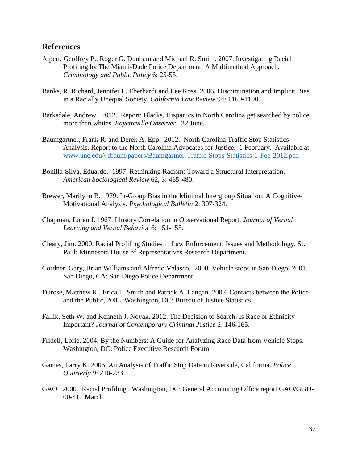#### **References**

- Alpert, Geoffrey P., Roger G. Dunham and Michael R. Smith. 2007. Investigating Racial Profiling by The Miami-Dade Police Department: A Multimethod Approach. *Criminology and Public Policy* 6: 25-55.
- Banks, R. Richard, Jennifer L. Eberhardt and Lee Ross. 2006. Discrimination and Implicit Bias in a Racially Unequal Society. *California Law Review* 94: 1169-1190.
- Barksdale, Andrew. 2012. Report: Blacks, Hispanics in North Carolina get searched by police more than whites. *Fayetteville Observer*. 22 June.
- Baumgartner, Frank R. and Derek A. Epp. 2012. North Carolina Traffic Stop Statistics Analysis. Report to the North Carolina Advocates for Justice. 1 February. Available at: [www.unc.edu/~fbaum/papers/Baumgartner-Traffic-Stops-Statistics-1-Feb-2012.pdf.](http://www.unc.edu/~fbaum/papers/Baumgartner-Traffic-Stops-Statistics-1-Feb-2012.pdf)
- Bonilla-Silva, Eduardo. 1997. Rethinking Racism: Toward a Structural Interpretation. *American Sociological Review* 62, 3: 465-480.
- Brewer, Marilynn B. 1979. In-Group Bias in the Minimal Intergroup Situation: A Cognitive-Motivational Analysis. *Psychological Bulletin* 2: 307-324.
- Chapman, Loren J. 1967. Illusory Correlation in Observational Report. *Journal of Verbal Learning and Verbal Behavior* 6: 151-155.
- Cleary, Jim. 2000. Racial Profiling Studies in Law Enforcement: Issues and Methodology. St. Paul: Minnesota House of Representatives Research Department.
- Cordner, Gary, Brian Williams and Alfredo Velasco. 2000. Vehicle stops in San Diego: 2001. San Diego, CA: San Diego Police Department.
- Durose, Matthew R., Erica L. Smith and Patrick A. Langan. 2007. Contacts between the Police and the Public, 2005. Washington, DC: Bureau of Justice Statistics.
- Fallik, Seth W. and Kenneth J. Novak. 2012. The Decision to Search: Is Race or Ethnicity Important? *Journal of Contemporary Criminal Justice* 2: 146-165.
- Fridell, Lorie. 2004. By the Numbers: A Guide for Analyzing Race Data from Vehicle Stops. Washington, DC: Police Executive Research Forum.
- Gaines, Larry K. 2006. An Analysis of Traffic Stop Data in Riverside, California. *Police Quarterly* 9: 210-233.
- GAO. 2000. Racial Profiling. Washington, DC: General Accounting Office report GAO/GGD-00-41. March.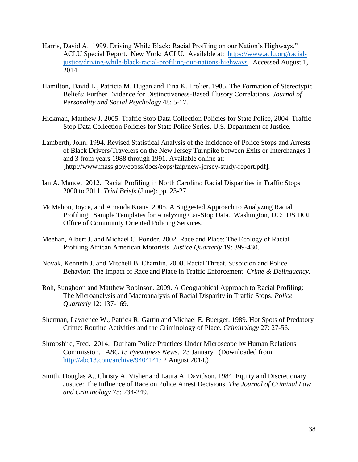- Harris, David A. 1999. Driving While Black: Racial Profiling on our Nation's Highways." ACLU Special Report. New York: ACLU. Available at: [https://www.aclu.org/racial](https://www.aclu.org/racial-justice/driving-while-black-racial-profiling-our-nations-highways)[justice/driving-while-black-racial-profiling-our-nations-highways.](https://www.aclu.org/racial-justice/driving-while-black-racial-profiling-our-nations-highways) Accessed August 1, 2014.
- Hamilton, David L., Patricia M. Dugan and Tina K. Trolier. 1985. The Formation of Stereotypic Beliefs: Further Evidence for Distinctiveness-Based Illusory Correlations. *Journal of Personality and Social Psychology* 48: 5-17.
- Hickman, Matthew J. 2005. Traffic Stop Data Collection Policies for State Police, 2004. Traffic Stop Data Collection Policies for State Police Series. U.S. Department of Justice.
- Lamberth, John. 1994. Revised Statistical Analysis of the Incidence of Police Stops and Arrests of Black Drivers/Travelers on the New Jersey Turnpike between Exits or Interchanges 1 and 3 from years 1988 through 1991. Available online at: [http://www.mass.gov/eopss/docs/eops/faip/new-jersey-study-report.pdf].
- Ian A. Mance. 2012. Racial Profiling in North Carolina: Racial Disparities in Traffic Stops 2000 to 2011. *Trial Briefs* (June): pp. 23-27.
- McMahon, Joyce, and Amanda Kraus. 2005. A Suggested Approach to Analyzing Racial Profiling: Sample Templates for Analyzing Car-Stop Data. Washington, DC: US DOJ Office of Community Oriented Policing Services.
- Meehan, Albert J. and Michael C. Ponder. 2002. Race and Place: The Ecology of Racial Profiling African American Motorists. *Justice Quarterly* 19: 399-430.
- Novak, Kenneth J. and Mitchell B. Chamlin. 2008. Racial Threat, Suspicion and Police Behavior: The Impact of Race and Place in Traffic Enforcement. *Crime & Delinquency*.
- Roh, Sunghoon and Matthew Robinson. 2009. A Geographical Approach to Racial Profiling: The Microanalysis and Macroanalysis of Racial Disparity in Traffic Stops. *Police Quarterly* 12: 137-169.
- Sherman, Lawrence W., Patrick R. Gartin and Michael E. Buerger. 1989. Hot Spots of Predatory Crime: Routine Activities and the Criminology of Place. *Criminology* 27: 27-56.
- Shropshire, Fred. 2014. Durham Police Practices Under Microscope by Human Relations Commission. *ABC 13 Eyewitness News*. 23 January. (Downloaded from <http://abc13.com/archive/9404141/> 2 August 2014.)
- Smith, Douglas A., Christy A. Visher and Laura A. Davidson. 1984. Equity and Discretionary Justice: The Influence of Race on Police Arrest Decisions. *The Journal of Criminal Law and Criminology* 75: 234-249.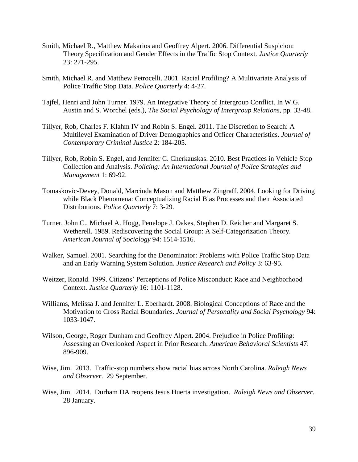- Smith, Michael R., Matthew Makarios and Geoffrey Alpert. 2006. Differential Suspicion: Theory Specification and Gender Effects in the Traffic Stop Context. *Justice Quarterly* 23: 271-295.
- Smith, Michael R. and Matthew Petrocelli. 2001. Racial Profiling? A Multivariate Analysis of Police Traffic Stop Data. *Police Quarterly* 4: 4-27.
- Tajfel, Henri and John Turner. 1979. An Integrative Theory of Intergroup Conflict. In W.G. Austin and S. Worchel (eds.), *The Social Psychology of Intergroup Relations*, pp. 33-48.
- Tillyer, Rob, Charles F. Klahm IV and Robin S. Engel. 2011. The Discretion to Search: A Multilevel Examination of Driver Demographics and Officer Characteristics. *Journal of Contemporary Criminal Justice* 2: 184-205.
- Tillyer, Rob, Robin S. Engel, and Jennifer C. Cherkauskas. 2010. Best Practices in Vehicle Stop Collection and Analysis. *Policing: An International Journal of Police Strategies and Management* 1: 69-92.
- Tomaskovic-Devey, Donald, Marcinda Mason and Matthew Zingraff. 2004. Looking for Driving while Black Phenomena: Conceptualizing Racial Bias Processes and their Associated Distributions. *Police Quarterly* 7: 3-29.
- Turner, John C., Michael A. Hogg, Penelope J. Oakes, Stephen D. Reicher and Margaret S. Wetherell. 1989. Rediscovering the Social Group: A Self-Categorization Theory. *American Journal of Sociology* 94: 1514-1516.
- Walker, Samuel. 2001. Searching for the Denominator: Problems with Police Traffic Stop Data and an Early Warning System Solution. *Justice Research and Policy* 3: 63-95.
- Weitzer, Ronald. 1999. Citizens' Perceptions of Police Misconduct: Race and Neighborhood Context. *Justice Quarterly* 16: 1101-1128.
- Williams, Melissa J. and Jennifer L. Eberhardt. 2008. Biological Conceptions of Race and the Motivation to Cross Racial Boundaries. *Journal of Personality and Social Psychology* 94: 1033-1047.
- Wilson, George, Roger Dunham and Geoffrey Alpert. 2004. Prejudice in Police Profiling: Assessing an Overlooked Aspect in Prior Research. *American Behavioral Scientists* 47: 896-909.
- Wise, Jim. 2013. Traffic-stop numbers show racial bias across North Carolina. *Raleigh News and Observer*. 29 September.
- Wise, Jim. 2014. Durham DA reopens Jesus Huerta investigation. *Raleigh News and Observer*. 28 January.